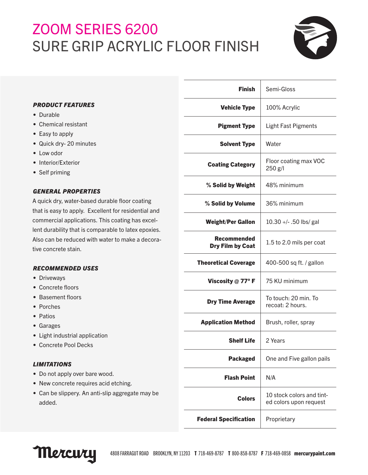# ZOOM SERIES 6200 SURE GRIP ACRYLIC FLOOR FINISH



## *PRODUCT FEATURES*

- Durable
- Chemical resistant
- Easy to apply
- Quick dry- 20 minutes
- Low odor
- Interior/Exterior
- Self priming

## *GENERAL PROPERTIES*

A quick dry, water-based durable floor coating that is easy to apply. Excellent for residential and commercial applications. This coating has excellent durability that is comparable to latex epoxies. Also can be reduced with water to make a decorative concrete stain.

## *RECOMMENDED USES*

- Driveways
- Concrete floors
- Basement floors
- Porches
- Patios
- Garages
- Light industrial application
- Concrete Pool Decks

## *LIMITATIONS*

- Do not apply over bare wood.
- New concrete requires acid etching.
- Can be slippery. An anti-slip aggregate may be added.

| <b>Finish</b>                                 | Semi-Gloss                                          |
|-----------------------------------------------|-----------------------------------------------------|
| <b>Vehicle Type</b>                           | 100% Acrylic                                        |
| <b>Pigment Type</b>                           | <b>Light Fast Pigments</b>                          |
| <b>Solvent Type</b>                           | Water                                               |
| <b>Coating Category</b>                       | Floor coating max VOC<br>250 g/l                    |
| % Solid by Weight                             | 48% minimum                                         |
| % Solid by Volume                             | 36% minimum                                         |
| <b>Weight/Per Gallon</b>                      | 10.30 +/- .50 lbs/ gal                              |
| <b>Recommended</b><br><b>Dry Film by Coat</b> | 1.5 to 2.0 mils per coat                            |
| <b>Theoretical Coverage</b>                   | 400-500 sq ft. / gallon                             |
| Viscosity $@$ 77° F                           | 75 KU minimum                                       |
| <b>Dry Time Average</b>                       | To touch: 20 min. To<br>recoat: 2 hours.            |
| <b>Application Method</b>                     | Brush, roller, spray                                |
| <b>Shelf Life</b>                             | 2 Years                                             |
| <b>Packaged</b>                               | One and Five gallon pails                           |
| <b>Flash Point</b>                            | N/A                                                 |
| Colors                                        | 10 stock colors and tint-<br>ed colors upon request |
| <b>Federal Specification</b>                  | Proprietary                                         |